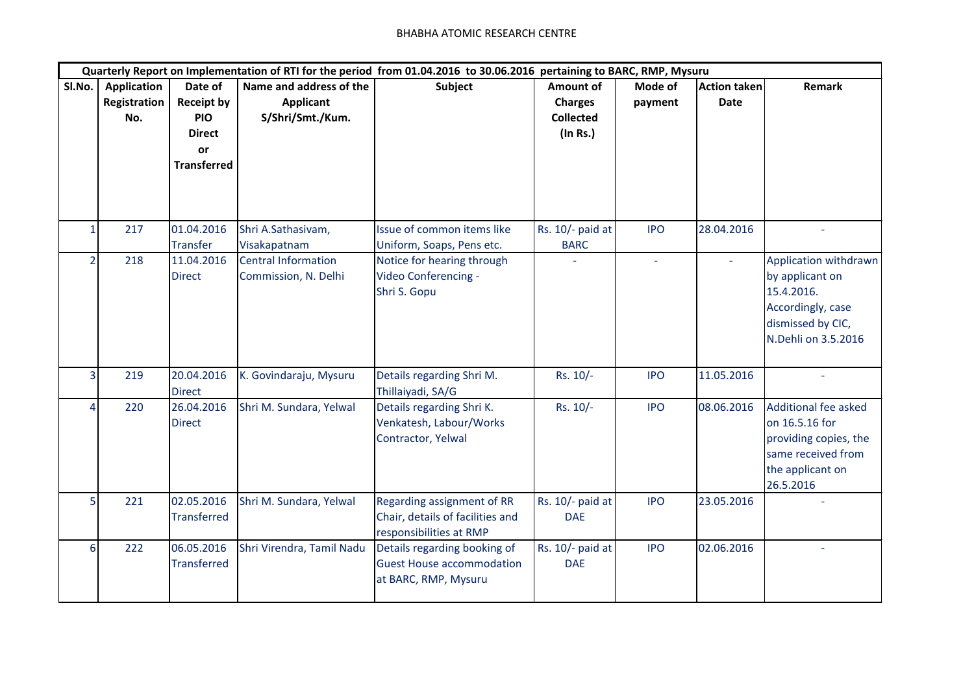| Quarterly Report on Implementation of RTI for the period from 01.04.2016 to 30.06.2016 pertaining to BARC, RMP, Mysuru |                                           |                                                                                         |                                                                 |                                                                                           |                                                                    |                    |                                    |                                                                                                                         |
|------------------------------------------------------------------------------------------------------------------------|-------------------------------------------|-----------------------------------------------------------------------------------------|-----------------------------------------------------------------|-------------------------------------------------------------------------------------------|--------------------------------------------------------------------|--------------------|------------------------------------|-------------------------------------------------------------------------------------------------------------------------|
| SI.No.                                                                                                                 | <b>Application</b><br>Registration<br>No. | Date of<br><b>Receipt by</b><br><b>PIO</b><br><b>Direct</b><br>or<br><b>Transferred</b> | Name and address of the<br><b>Applicant</b><br>S/Shri/Smt./Kum. | Subject                                                                                   | <b>Amount of</b><br><b>Charges</b><br><b>Collected</b><br>(In Rs.) | Mode of<br>payment | <b>Action taken</b><br><b>Date</b> | <b>Remark</b>                                                                                                           |
|                                                                                                                        | 217                                       | 01.04.2016<br><b>Transfer</b>                                                           | Shri A.Sathasivam,<br>Visakapatnam                              | Issue of common items like<br>Uniform, Soaps, Pens etc.                                   | Rs. 10/- paid at<br><b>BARC</b>                                    | <b>IPO</b>         | 28.04.2016                         |                                                                                                                         |
|                                                                                                                        | 218                                       | 11.04.2016<br><b>Direct</b>                                                             | <b>Central Information</b><br>Commission, N. Delhi              | Notice for hearing through<br>Video Conferencing -<br>Shri S. Gopu                        |                                                                    | ÷,                 |                                    | Application withdrawn<br>by applicant on<br>15.4.2016.<br>Accordingly, case<br>dismissed by CIC,<br>N.Dehli on 3.5.2016 |
| 3                                                                                                                      | 219                                       | 20.04.2016<br><b>Direct</b>                                                             | K. Govindaraju, Mysuru                                          | Details regarding Shri M.<br>Thillaiyadi, SA/G                                            | Rs. 10/-                                                           | <b>IPO</b>         | 11.05.2016                         |                                                                                                                         |
| Λ                                                                                                                      | 220                                       | 26.04.2016<br><b>Direct</b>                                                             | Shri M. Sundara, Yelwal                                         | Details regarding Shri K.<br>Venkatesh, Labour/Works<br>Contractor, Yelwal                | Rs. 10/-                                                           | <b>IPO</b>         | 08.06.2016                         | Additional fee asked<br>on 16.5.16 for<br>providing copies, the<br>same received from<br>the applicant on<br>26.5.2016  |
| $\overline{5}$                                                                                                         | 221                                       | 02.05.2016<br><b>Transferred</b>                                                        | Shri M. Sundara, Yelwal                                         | Regarding assignment of RR<br>Chair, details of facilities and<br>responsibilities at RMP | Rs. 10/- paid at<br><b>DAE</b>                                     | <b>IPO</b>         | 23.05.2016                         |                                                                                                                         |
| 6                                                                                                                      | 222                                       | 06.05.2016<br><b>Transferred</b>                                                        | Shri Virendra, Tamil Nadu                                       | Details regarding booking of<br><b>Guest House accommodation</b><br>at BARC, RMP, Mysuru  | Rs. 10/- paid at<br><b>DAE</b>                                     | <b>IPO</b>         | 02.06.2016                         | L.                                                                                                                      |